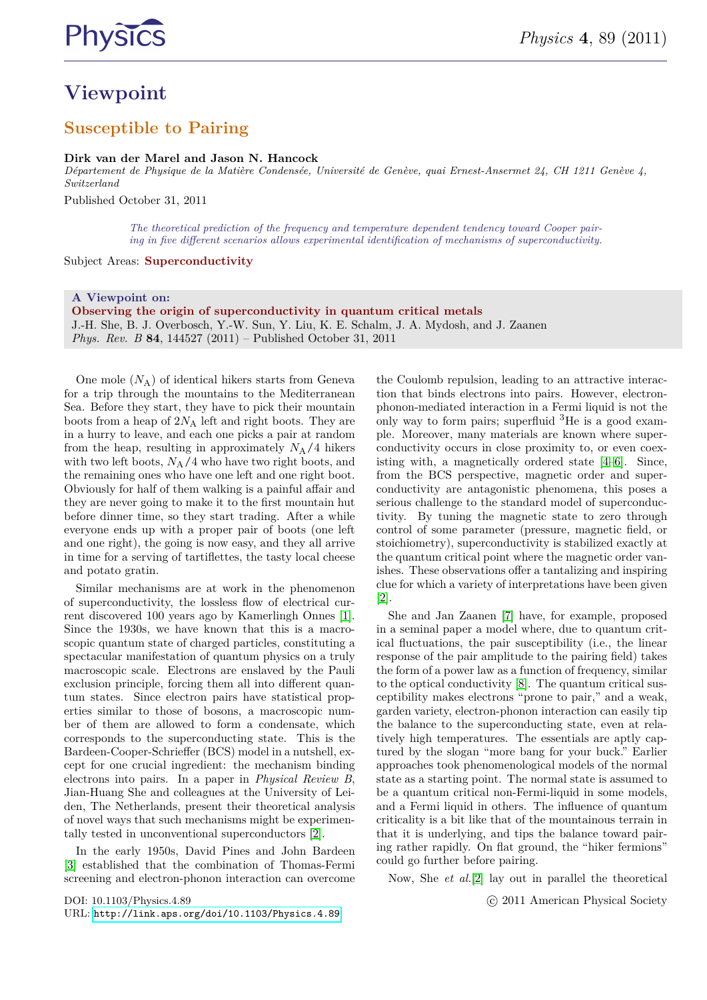

# **Viewpoint**

### **Susceptible to Pairing**

**Dirk van der Marel and Jason N. Hancock** *Département de Physique de la Matière Condensée, Université de Genève, quai Ernest-Ansermet 24, CH 1211 Genève 4, Switzerland*

Published October 31, 2011

*The theoretical prediction of the frequency and temperature dependent tendency toward Cooper pairing in five different scenarios allows experimental identification of mechanisms of superconductivity.*

Subject Areas: **Superconductivity**

**A Viewpoint on: Observing the origin of superconductivity in quantum critical metals** J.-H. She, B. J. Overbosch, Y.-W. Sun, Y. Liu, K. E. Schalm, J. A. Mydosh, and J. Zaanen *Phys. Rev. B* **84**, 144527 (2011) – Published October 31, 2011

One mole (*N*A) of identical hikers starts from Geneva for a trip through the mountains to the Mediterranean Sea. Before they start, they have to pick their mountain boots from a heap of 2*N*<sup>A</sup> left and right boots. They are in a hurry to leave, and each one picks a pair at random from the heap, resulting in approximately  $N_A/4$  hikers with two left boots,  $N_A/4$  who have two right boots, and the remaining ones who have one left and one right boot. Obviously for half of them walking is a painful affair and they are never going to make it to the first mountain hut before dinner time, so they start trading. After a while everyone ends up with a proper pair of boots (one left and one right), the going is now easy, and they all arrive in time for a serving of tartiflettes, the tasty local cheese and potato gratin.

Similar mechanisms are at work in the phenomenon of superconductivity, the lossless flow of electrical current discovered 100 years ago by Kamerlingh Onnes [\[1\]](#page-1-0). Since the 1930s, we have known that this is a macroscopic quantum state of charged particles, constituting a spectacular manifestation of quantum physics on a truly macroscopic scale. Electrons are enslaved by the Pauli exclusion principle, forcing them all into different quantum states. Since electron pairs have statistical properties similar to those of bosons, a macroscopic number of them are allowed to form a condensate, which corresponds to the superconducting state. This is the Bardeen-Cooper-Schrieffer (BCS) model in a nutshell, except for one crucial ingredient: the mechanism binding electrons into pairs. In a paper in *Physical Review B*, Jian-Huang She and colleagues at the University of Leiden, The Netherlands, present their theoretical analysis of novel ways that such mechanisms might be experimentally tested in unconventional superconductors [\[2\]](#page-1-1).

In the early 1950s, David Pines and John Bardeen [\[3\]](#page-1-2) established that the combination of Thomas-Fermi screening and electron-phonon interaction can overcome

DOI: 10.1103/Physics.4.89 URL: <http://link.aps.org/doi/10.1103/Physics.4.89> the Coulomb repulsion, leading to an attractive interaction that binds electrons into pairs. However, electronphonon-mediated interaction in a Fermi liquid is not the only way to form pairs; superfluid  ${}^{3}$ He is a good example. Moreover, many materials are known where superconductivity occurs in close proximity to, or even coexisting with, a magnetically ordered state [\[4–](#page-1-3)[6\]](#page-2-0). Since, from the BCS perspective, magnetic order and superconductivity are antagonistic phenomena, this poses a serious challenge to the standard model of superconductivity. By tuning the magnetic state to zero through control of some parameter (pressure, magnetic field, or stoichiometry), superconductivity is stabilized exactly at the quantum critical point where the magnetic order vanishes. These observations offer a tantalizing and inspiring clue for which a variety of interpretations have been given  $|2|$ .

She and Jan Zaanen [\[7\]](#page-2-1) have, for example, proposed in a seminal paper a model where, due to quantum critical fluctuations, the pair susceptibility (i.e., the linear response of the pair amplitude to the pairing field) takes the form of a power law as a function of frequency, similar to the optical conductivity [\[8\]](#page-2-2). The quantum critical susceptibility makes electrons "prone to pair," and a weak, garden variety, electron-phonon interaction can easily tip the balance to the superconducting state, even at relatively high temperatures. The essentials are aptly captured by the slogan "more bang for your buck." Earlier approaches took phenomenological models of the normal state as a starting point. The normal state is assumed to be a quantum critical non-Fermi-liquid in some models, and a Fermi liquid in others. The influence of quantum criticality is a bit like that of the mountainous terrain in that it is underlying, and tips the balance toward pairing rather rapidly. On flat ground, the "hiker fermions" could go further before pairing.

Now, She *et al.*[\[2\]](#page-1-1) lay out in parallel the theoretical

c 2011 American Physical Society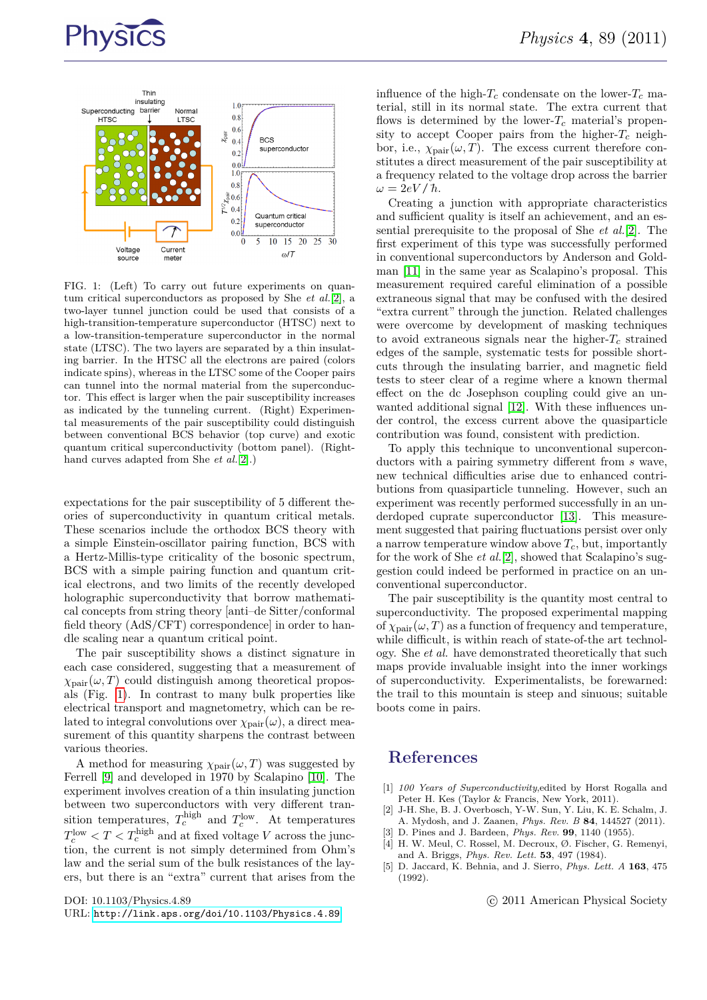



<span id="page-1-4"></span>FIG. 1: (Left) To carry out future experiments on quantum critical superconductors as proposed by She *et al.*[\[2\]](#page-1-1), a two-layer tunnel junction could be used that consists of a high-transition-temperature superconductor (HTSC) next to a low-transition-temperature superconductor in the normal state (LTSC). The two layers are separated by a thin insulating barrier. In the HTSC all the electrons are paired (colors indicate spins), whereas in the LTSC some of the Cooper pairs can tunnel into the normal material from the superconductor. This effect is larger when the pair susceptibility increases as indicated by the tunneling current. (Right) Experimental measurements of the pair susceptibility could distinguish between conventional BCS behavior (top curve) and exotic quantum critical superconductivity (bottom panel). (Righthand curves adapted from She *et al.*[\[2\]](#page-1-1).)

expectations for the pair susceptibility of 5 different theories of superconductivity in quantum critical metals. These scenarios include the orthodox BCS theory with a simple Einstein-oscillator pairing function, BCS with a Hertz-Millis-type criticality of the bosonic spectrum, BCS with a simple pairing function and quantum critical electrons, and two limits of the recently developed holographic superconductivity that borrow mathematical concepts from string theory [anti–de Sitter/conformal field theory (AdS/CFT) correspondence] in order to handle scaling near a quantum critical point.

The pair susceptibility shows a distinct signature in each case considered, suggesting that a measurement of  $\chi_{\text{pair}}(\omega, T)$  could distinguish among theoretical proposals (Fig. [1\)](#page-1-4). In contrast to many bulk properties like electrical transport and magnetometry, which can be related to integral convolutions over  $\chi_{\text{pair}}(\omega)$ , a direct measurement of this quantity sharpens the contrast between various theories.

A method for measuring  $\chi_{\text{pair}}(\omega, T)$  was suggested by Ferrell [\[9\]](#page-2-3) and developed in 1970 by Scalapino [\[10\]](#page-2-4). The experiment involves creation of a thin insulating junction between two superconductors with very different transition temperatures,  $T_c^{\text{high}}$  and  $T_c^{\text{low}}$ . At temperatures  $T_c^{\text{low}} < T < T_c^{\text{high}}$  and at fixed voltage *V* across the junction, the current is not simply determined from Ohm's law and the serial sum of the bulk resistances of the layers, but there is an "extra" current that arises from the

DOI: 10.1103/Physics.4.89

influence of the high- $T_c$  condensate on the lower- $T_c$  material, still in its normal state. The extra current that flows is determined by the lower- $T_c$  material's propensity to accept Cooper pairs from the higher- $T_c$  neighbor, i.e.,  $\chi_{\text{pair}}(\omega, T)$ . The excess current therefore constitutes a direct measurement of the pair susceptibility at a frequency related to the voltage drop across the barrier  $\omega = 2eV/\hbar$ .

Creating a junction with appropriate characteristics and sufficient quality is itself an achievement, and an essential prerequisite to the proposal of She *et al.*[\[2\]](#page-1-1). The first experiment of this type was successfully performed in conventional superconductors by Anderson and Goldman [\[11\]](#page-2-5) in the same year as Scalapino's proposal. This measurement required careful elimination of a possible extraneous signal that may be confused with the desired "extra current" through the junction. Related challenges were overcome by development of masking techniques to avoid extraneous signals near the higher- $T_c$  strained edges of the sample, systematic tests for possible shortcuts through the insulating barrier, and magnetic field tests to steer clear of a regime where a known thermal effect on the dc Josephson coupling could give an unwanted additional signal [\[12\]](#page-2-6). With these influences under control, the excess current above the quasiparticle contribution was found, consistent with prediction.

To apply this technique to unconventional superconductors with a pairing symmetry different from *s* wave, new technical difficulties arise due to enhanced contributions from quasiparticle tunneling. However, such an experiment was recently performed successfully in an underdoped cuprate superconductor [\[13\]](#page-2-7). This measurement suggested that pairing fluctuations persist over only a narrow temperature window above  $T_c$ , but, importantly for the work of She *et al.*[\[2\]](#page-1-1), showed that Scalapino's suggestion could indeed be performed in practice on an unconventional superconductor.

The pair susceptibility is the quantity most central to superconductivity. The proposed experimental mapping of  $\chi_{\text{pair}}(\omega, T)$  as a function of frequency and temperature, while difficult, is within reach of state-of-the art technology. She *et al.* have demonstrated theoretically that such maps provide invaluable insight into the inner workings of superconductivity. Experimentalists, be forewarned: the trail to this mountain is steep and sinuous; suitable boots come in pairs.

#### **References**

- <span id="page-1-0"></span>[1] *100 Years of Superconductivity*,edited by Horst Rogalla and Peter H. Kes (Taylor & Francis, New York, 2011).
- <span id="page-1-1"></span>[2] J-H. She, B. J. Overbosch, Y-W. Sun, Y. Liu, K. E. Schalm, J. A. Mydosh, and J. Zaanen, *Phys. Rev. B* **84**, 144527 (2011).
- <span id="page-1-3"></span><span id="page-1-2"></span>[3] D. Pines and J. Bardeen, *Phys. Rev.* **99**, 1140 (1955). [4] H. W. Meul, C. Rossel, M. Decroux, Ø. Fischer, G. Remenyi,
- and A. Briggs, *Phys. Rev. Lett.* **53**, 497 (1984).
- [5] D. Jaccard, K. Behnia, and J. Sierro, *Phys. Lett. A* **163**, 475 (1992).

c 2011 American Physical Society

URL: <http://link.aps.org/doi/10.1103/Physics.4.89>